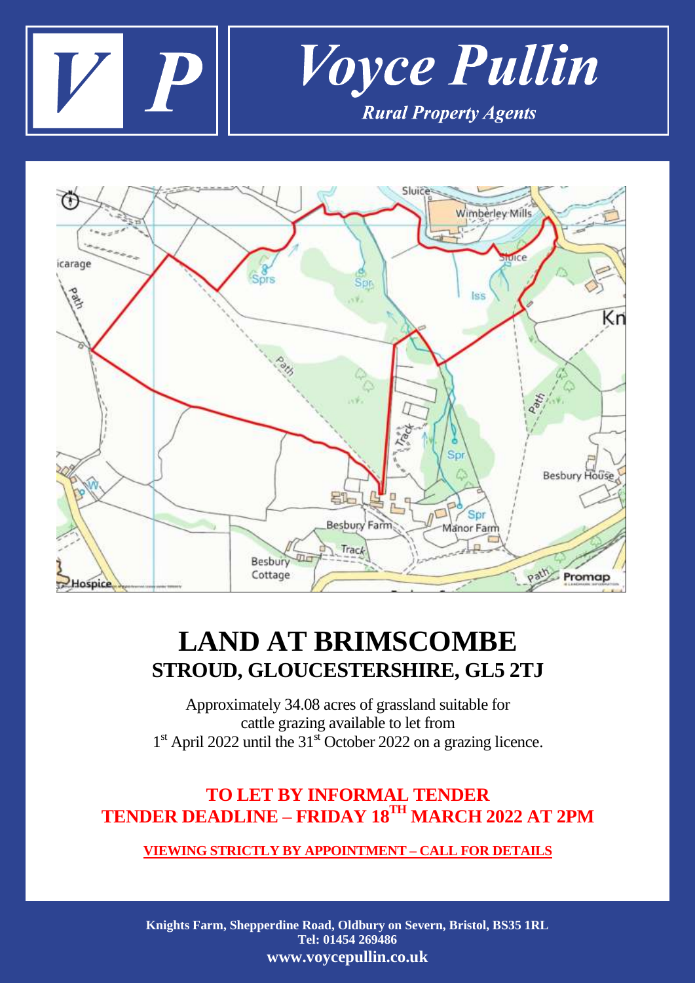



## **LAND AT BRIMSCOMBE STROUD, GLOUCESTERSHIRE, GL5 2TJ**

Approximately 34.08 acres of grassland suitable for cattle grazing available to let from 1<sup>st</sup> April 2022 until the 31<sup>st</sup> October 2022 on a grazing licence.

## **TO LET BY INFORMAL TENDER TENDER DEADLINE – FRIDAY 18 TH MARCH 2022 AT 2PM**

## **VIEWING STRICTLY BY APPOINTMENT – CALL FOR DETAILS**

**Knights Farm, Shepperdine Road, Oldbury on Severn, Bristol, BS35 1RL Tel: 01454 269486 www.voycepullin.co.uk**